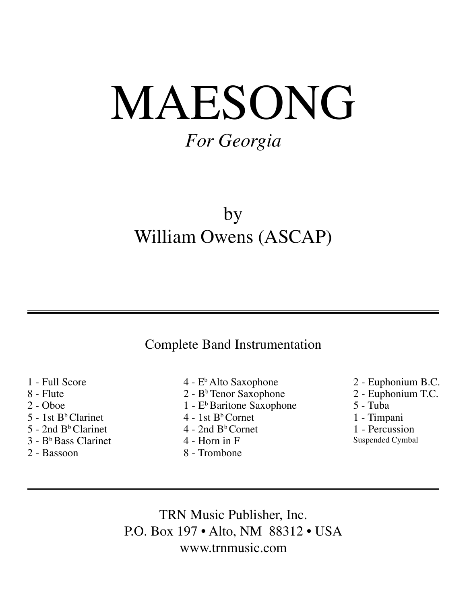# MAESONG

### *For Georgia*

## by William Owens (ASCAP)

#### Complete Band Instrumentation

- 1 Full Score
- 8 Flute
- 2 Oboe
- $5 1$ st B<sup>b</sup> Clarinet
- $5 2$ nd B<sup>b</sup> Clarinet
- $3 B<sup>b</sup>$  Bass Clarinet
- 2 Bassoon
- 4 Eb Alto Saxophone
- 2 Bb Tenor Saxophone
- 1 E<sup>b</sup> Baritone Saxophone
- $4 1$ st B<sup>b</sup>Cornet
- $4 2$ nd B<sup>b</sup>Cornet
- 4 Horn in F
- 8 Trombone
- 2 Euphonium B.C.
- 2 Euphonium T.C.
- 5 Tuba
- 1 Timpani
- 1 Percussion

Suspended Cymbal

TRN Music Publisher, Inc. P.O. Box 197 • Alto, NM 88312 • USA www.trnmusic.com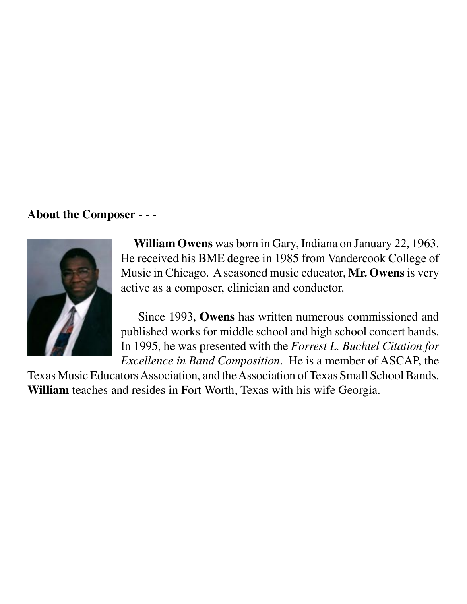#### **About the Composer - - -**



 **William Owens** was born in Gary, Indiana on January 22, 1963. He received his BME degree in 1985 from Vandercook College of Music in Chicago. A seasoned music educator, **Mr. Owens** is very active as a composer, clinician and conductor.

 Since 1993, **Owens** has written numerous commissioned and published works for middle school and high school concert bands. In 1995, he was presented with the *Forrest L. Buchtel Citation for Excellence in Band Composition*. He is a member of ASCAP, the

Texas Music Educators Association, and the Association of Texas Small School Bands. **William** teaches and resides in Fort Worth, Texas with his wife Georgia.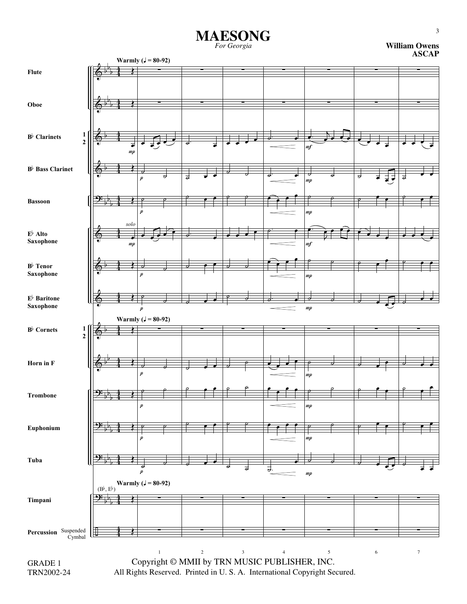## **MAESONG** *For Georgia*

**William Owens ASCAP**

| Warmly $(J = 80-92)$                           |                                       |                      |                                          |            |                             |                |                                  |              |                  |
|------------------------------------------------|---------------------------------------|----------------------|------------------------------------------|------------|-----------------------------|----------------|----------------------------------|--------------|------------------|
| <b>Flute</b>                                   |                                       |                      |                                          |            |                             |                |                                  |              |                  |
|                                                |                                       |                      |                                          |            |                             |                |                                  |              |                  |
| Oboe                                           |                                       |                      |                                          |            |                             |                |                                  |              |                  |
| $\mathbf{1}$<br>$\mathbf{B}^\flat$ Clarinets   |                                       |                      |                                          |            |                             |                |                                  |              |                  |
| $\mathbf{2}$                                   |                                       | ⋥<br>$\mathfrak{m}p$ |                                          |            |                             |                | m f                              |              |                  |
| $\mathbf{B}^\flat$ Bass Clarinet               | ⊕<br>∙                                |                      | ರ<br>$\boldsymbol{p}$                    |            |                             |                | $\it{mp}$                        | ォ<br>⋣⋥<br>₹ | 귱                |
| <b>Bassoon</b>                                 | $\mathbf{9}$                          | solo                 | $\boldsymbol{p}$                         |            |                             |                | $\it{mp}$                        |              |                  |
| $\mathbf{E}^\flat$ Alto<br>Saxophone           | $^\circledcirc$<br>$\bullet$          | mp                   |                                          |            |                             |                | $m\!f$                           |              |                  |
| $B^{\flat}$ Tenor<br>Saxophone                 |                                       |                      | $\boldsymbol{p}$                         |            |                             |                | mp                               |              |                  |
| $\mathbf{E}^{\flat}$ Baritone<br>Saxophone     | ∙                                     |                      | $\boldsymbol{p}$<br>Warmly $(J = 80-92)$ |            |                             |                | $\it{mp}$                        |              |                  |
| $\mathbf{B}^\flat$ Cornets<br>1<br>$\mathbf 2$ |                                       |                      |                                          |            |                             |                |                                  |              |                  |
| Horn in F                                      | ∙                                     |                      | $\pmb{p}$                                |            |                             |                | $\it{mp}$                        |              |                  |
| <b>Trombone</b>                                | $\mathbf{9}$                          |                      | $\pmb{p}$                                |            |                             |                | $\mathfrak{m}p$                  |              |                  |
| Euphonium                                      | $\cdot$ : b                           |                      | $\boldsymbol{p}$                         |            |                             |                | $\it{mp}$                        |              |                  |
| Tuba                                           | $(\mathsf{B}^\flat,\mathsf{E}^\flat)$ |                      | €<br>$\pmb{p}$<br>Warmly $(J = 80-92)$   |            | ಕ                           | ヺ.             | $\boldsymbol{m}{\boldsymbol{p}}$ |              |                  |
|                                                | $\mathbf{9:} \frac{1}{2}$             |                      |                                          |            |                             |                |                                  |              |                  |
| Timpani                                        |                                       |                      |                                          |            |                             |                |                                  |              |                  |
| <b>Percussion</b> Suspended Cymbal             |                                       |                      |                                          |            |                             |                |                                  |              |                  |
|                                                |                                       |                      | $1\,$                                    | $\sqrt{2}$ | $\ensuremath{\mathfrak{Z}}$ | $\overline{4}$ | $\sqrt{5}$                       | $\sqrt{6}$   | $\boldsymbol{7}$ |

TRN2002-24 GRADE 1

Copyright © MMII by TRN MUSIC PUBLISHER, INC. All Rights Reserved. Printed in U. S. A. International Copyright Secured.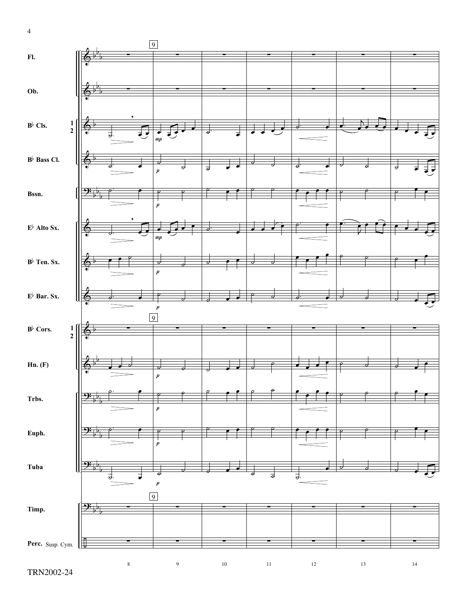